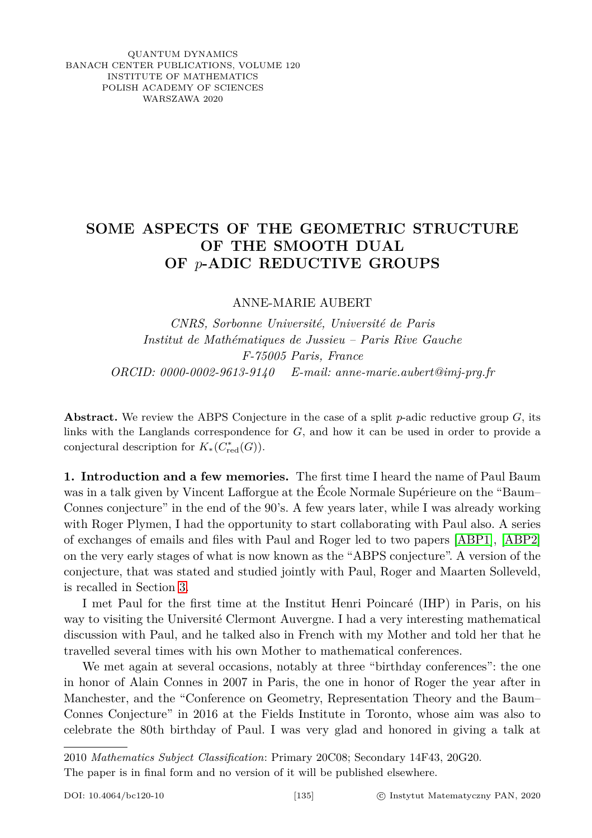QUANTUM DYNAMICS BANACH CENTER PUBLICATIONS, VOLUME 120 INSTITUTE OF MATHEMATICS POLISH ACADEMY OF SCIENCES WARSZAWA 2020

## **SOME ASPECTS OF THE GEOMETRIC STRUCTURE OF THE SMOOTH DUAL OF** *p***-ADIC REDUCTIVE GROUPS**

ANNE-MARIE AUBERT

*CNRS, Sorbonne Université, Université de Paris Institut de Mathématiques de Jussieu – Paris Rive Gauche F-75005 Paris, France ORCID: 0000-0002-9613-9140 E-mail: anne-marie.aubert@imj-prg.fr*

**Abstract.** We review the ABPS Conjecture in the case of a split *p*-adic reductive group *G*, its links with the Langlands correspondence for *G*, and how it can be used in order to provide a conjectural description for  $K_*(C^*_{red}(G))$ .

**1. Introduction and a few memories.** The first time I heard the name of Paul Baum was in a talk given by Vincent Lafforgue at the École Normale Supérieure on the "Baum– Connes conjecture" in the end of the 90's. A few years later, while I was already working with Roger Plymen, I had the opportunity to start collaborating with Paul also. A series of exchanges of emails and files with Paul and Roger led to two papers [\[ABP1\]](#page-13-0), [\[ABP2\]](#page-13-1) on the very early stages of what is now known as the "ABPS conjecture". A version of the conjecture, that was stated and studied jointly with Paul, Roger and Maarten Solleveld, is recalled in Section [3.](#page-2-0)

I met Paul for the first time at the Institut Henri Poincaré (IHP) in Paris, on his way to visiting the Université Clermont Auvergne. I had a very interesting mathematical discussion with Paul, and he talked also in French with my Mother and told her that he travelled several times with his own Mother to mathematical conferences.

We met again at several occasions, notably at three "birthday conferences": the one in honor of Alain Connes in 2007 in Paris, the one in honor of Roger the year after in Manchester, and the "Conference on Geometry, Representation Theory and the Baum– Connes Conjecture" in 2016 at the Fields Institute in Toronto, whose aim was also to celebrate the 80th birthday of Paul. I was very glad and honored in giving a talk at

2010 *Mathematics Subject Classification*: Primary 20C08; Secondary 14F43, 20G20.

The paper is in final form and no version of it will be published elsewhere.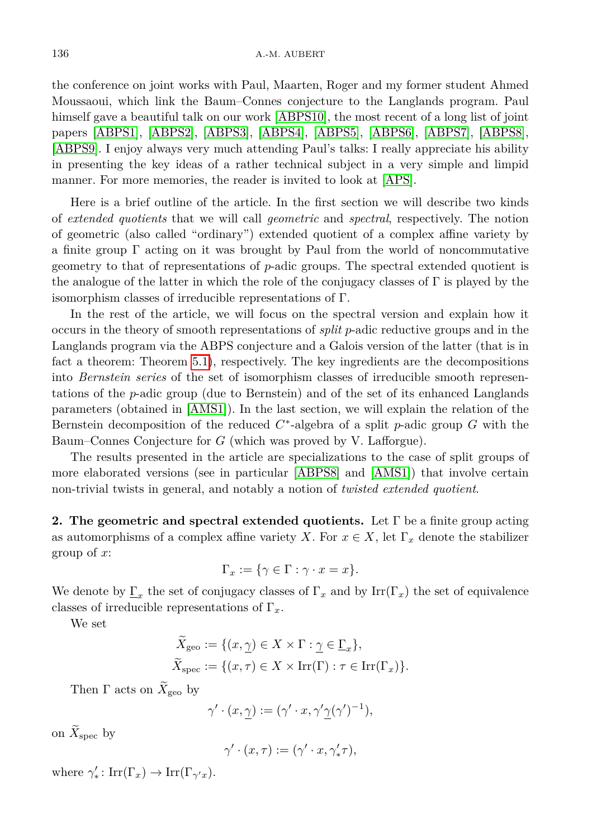the conference on joint works with Paul, Maarten, Roger and my former student Ahmed Moussaoui, which link the Baum–Connes conjecture to the Langlands program. Paul himself gave a beautiful talk on our work [\[ABPS10\]](#page-13-2), the most recent of a long list of joint papers [\[ABPS1\]](#page-13-3), [\[ABPS2\]](#page-13-4), [\[ABPS3\]](#page-13-5), [\[ABPS4\]](#page-13-6), [\[ABPS5\]](#page-13-7), [\[ABPS6\]](#page-13-8), [\[ABPS7\]](#page-13-9), [\[ABPS8\]](#page-13-10), [\[ABPS9\]](#page-13-11). I enjoy always very much attending Paul's talks: I really appreciate his ability in presenting the key ideas of a rather technical subject in a very simple and limpid manner. For more memories, the reader is invited to look at [\[APS\]](#page-13-12).

Here is a brief outline of the article. In the first section we will describe two kinds of *extended quotients* that we will call *geometric* and *spectral*, respectively. The notion of geometric (also called "ordinary") extended quotient of a complex affine variety by a finite group  $\Gamma$  acting on it was brought by Paul from the world of noncommutative geometry to that of representations of *p*-adic groups. The spectral extended quotient is the analogue of the latter in which the role of the conjugacy classes of  $\Gamma$  is played by the isomorphism classes of irreducible representations of Γ.

In the rest of the article, we will focus on the spectral version and explain how it occurs in the theory of smooth representations of *split p*-adic reductive groups and in the Langlands program via the ABPS conjecture and a Galois version of the latter (that is in fact a theorem: Theorem [5.1\)](#page-10-0), respectively. The key ingredients are the decompositions into *Bernstein series* of the set of isomorphism classes of irreducible smooth representations of the *p*-adic group (due to Bernstein) and of the set of its enhanced Langlands parameters (obtained in [\[AMS1\]](#page-13-13)). In the last section, we will explain the relation of the Bernstein decomposition of the reduced *C* ∗ -algebra of a split *p*-adic group *G* with the Baum–Connes Conjecture for *G* (which was proved by V. Lafforgue).

The results presented in the article are specializations to the case of split groups of more elaborated versions (see in particular [\[ABPS8\]](#page-13-10) and [\[AMS1\]](#page-13-13)) that involve certain non-trivial twists in general, and notably a notion of *twisted extended quotient*.

**2. The geometric and spectral extended quotients.** Let Γ be a finite group acting as automorphisms of a complex affine variety *X*. For  $x \in X$ , let  $\Gamma_x$  denote the stabilizer group of *x*:

$$
\Gamma_x := \{ \gamma \in \Gamma : \gamma \cdot x = x \}.
$$

We denote by  $\Gamma_x$  the set of conjugacy classes of  $\Gamma_x$  and by  $\text{Irr}(\Gamma_x)$  the set of equivalence classes of irreducible representations of Γ*x*.

We set

$$
\widetilde{X}_{\text{geo}} := \{ (x, \underline{\gamma}) \in X \times \Gamma : \underline{\gamma} \in \underline{\Gamma}_x \},
$$
  

$$
\widetilde{X}_{\text{spec}} := \{ (x, \tau) \in X \times \text{Irr}(\Gamma) : \tau \in \text{Irr}(\Gamma_x) \}.
$$

Then  $\Gamma$  acts on  $\widetilde{X}_{\text{geo}}$  by

$$
\gamma'\cdot(x,\underline{\gamma}):=(\gamma'\cdot x,\gamma'\underline{\gamma}(\gamma')^{-1}),
$$

on  $\widetilde{X}_{\text{spec}}$  by

$$
\gamma'\cdot(x,\tau):=(\gamma'\cdot x,\gamma'_*\tau),
$$

where  $\gamma'_*: \operatorname{Irr}(\Gamma_x) \to \operatorname{Irr}(\Gamma_{\gamma'x}).$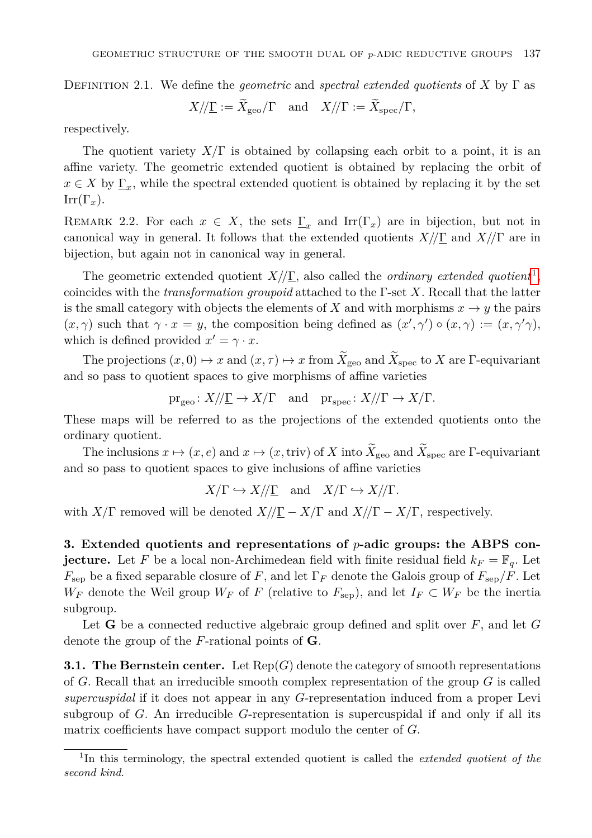Definition 2.1. We define the *geometric* and *spectral extended quotients* of *X* by Γ as

$$
X/\!/\underline{\Gamma} := \widetilde{X}_{\text{geo}}/\Gamma \quad \text{and} \quad X/\!/\Gamma := \widetilde{X}_{\text{spec}}/\Gamma,
$$

respectively.

The quotient variety *X/*Γ is obtained by collapsing each orbit to a point, it is an affine variety. The geometric extended quotient is obtained by replacing the orbit of  $x \in X$  by  $\underline{\Gamma}_x$ , while the spectral extended quotient is obtained by replacing it by the set  $\text{Irr}(\Gamma_x)$ .

REMARK 2.2. For each  $x \in X$ , the sets  $\Gamma_x$  and  $\text{Irr}(\Gamma_x)$  are in bijection, but not in canonical way in general. It follows that the extended quotients *X//*Γ and *X//*Γ are in bijection, but again not in canonical way in general.

The geometric extended quotient *X//*Γ, also called the *ordinary extended quotient*[1](#page-2-1) , coincides with the *transformation groupoid* attached to the Γ-set *X*. Recall that the latter is the small category with objects the elements of *X* and with morphisms  $x \to y$  the pairs  $(x, \gamma)$  such that  $\gamma \cdot x = y$ , the composition being defined as  $(x', \gamma') \circ (x, \gamma) := (x, \gamma' \gamma)$ , which is defined provided  $x' = \gamma \cdot x$ .

The projections  $(x, 0) \mapsto x$  and  $(x, \tau) \mapsto x$  from  $\widetilde{X}_{\text{geo}}$  and  $\widetilde{X}_{\text{spec}}$  to *X* are *Γ*-equivariant and so pass to quotient spaces to give morphisms of affine varieties

 $pr_{\text{geo}}: X/\!/\underline{\Gamma} \to X/\Gamma$  and  $pr_{\text{spec}}: X/\!/\Gamma \to X/\Gamma$ .

These maps will be referred to as the projections of the extended quotients onto the ordinary quotient.

The inclusions  $x \mapsto (x, e)$  and  $x \mapsto (x, \text{triv})$  of *X* into  $\widetilde{X}_{\text{geo}}$  and  $\widetilde{X}_{\text{spec}}$  are  $\Gamma$ -equivariant and so pass to quotient spaces to give inclusions of affine varieties

 $X/\Gamma \hookrightarrow X/\Gamma$  and  $X/\Gamma \hookrightarrow X/\Gamma$ .

with *X*/ $\Gamma$  removed will be denoted  $X/\Gamma - X/\Gamma$  and  $X/\Gamma - X/\Gamma$ , respectively.

<span id="page-2-0"></span>**3. Extended quotients and representations of** *p***-adic groups: the ABPS conjecture.** Let F be a local non-Archimedean field with finite residual field  $k_F = \mathbb{F}_q$ . Let  $F_{\text{sep}}$  be a fixed separable closure of *F*, and let  $\Gamma_F$  denote the Galois group of  $F_{\text{sep}}/F$ . Let *W<sub>F</sub>* denote the Weil group  $W_F$  of *F* (relative to  $F_{\text{sep}}$ ), and let  $I_F \subset W_F$  be the inertia subgroup.

Let **G** be a connected reductive algebraic group defined and split over *F*, and let *G* denote the group of the *F*-rational points of **G**.

**3.1. The Bernstein center.** Let  $\text{Rep}(G)$  denote the category of smooth representations of *G*. Recall that an irreducible smooth complex representation of the group *G* is called *supercuspidal* if it does not appear in any *G*-representation induced from a proper Levi subgroup of *G*. An irreducible *G*-representation is supercuspidal if and only if all its matrix coefficients have compact support modulo the center of *G*.

<span id="page-2-1"></span><sup>&</sup>lt;sup>1</sup>In this terminology, the spectral extended quotient is called the *extended quotient of the second kind*.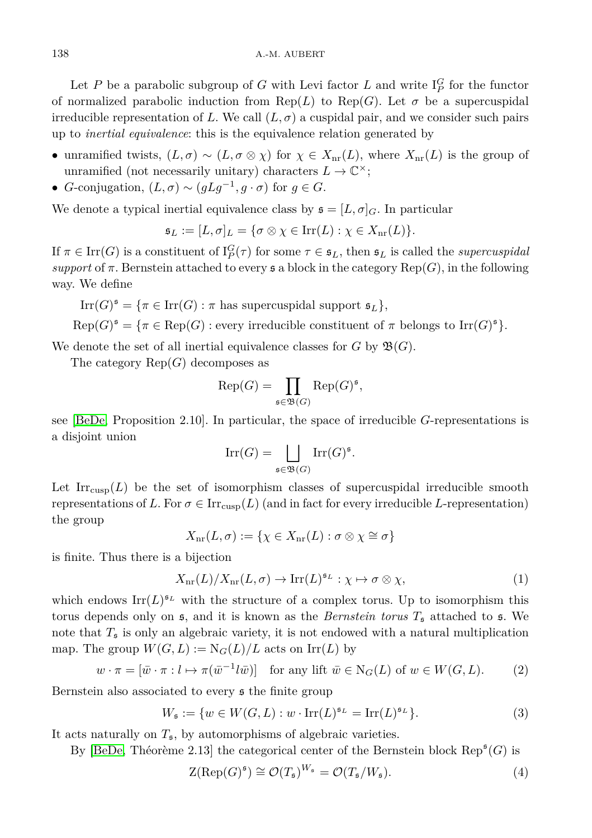Let P be a parabolic subgroup of G with Levi factor L and write  $I_P^G$  for the functor of normalized parabolic induction from  $\text{Rep}(L)$  to  $\text{Rep}(G)$ . Let  $\sigma$  be a supercuspidal irreducible representation of L. We call  $(L, \sigma)$  a cuspidal pair, and we consider such pairs up to *inertial equivalence*: this is the equivalence relation generated by

- unramified twists,  $(L, \sigma) \sim (L, \sigma \otimes \chi)$  for  $\chi \in X_{\text{nr}}(L)$ , where  $X_{\text{nr}}(L)$  is the group of unramified (not necessarily unitary) characters  $L \to \mathbb{C}^{\times}$ ;
- *G*-conjugation,  $(L, \sigma) \sim (gLg^{-1}, g \cdot \sigma)$  for  $g \in G$ .

We denote a typical inertial equivalence class by  $\mathfrak{s} = [L, \sigma]_G$ . In particular

$$
\mathfrak{s}_L := [L, \sigma]_L = \{ \sigma \otimes \chi \in \operatorname{Irr}(L) : \chi \in X_{\text{nr}}(L) \}.
$$

If  $\pi \in \text{Irr}(G)$  is a constituent of  $I_P^G(\tau)$  for some  $\tau \in \mathfrak{s}_L$ , then  $\mathfrak{s}_L$  is called the *supercuspidal support* of  $\pi$ . Bernstein attached to every s a block in the category  $Rep(G)$ , in the following way. We define

 $\text{Irr}(G)^{\mathfrak{s}} = {\pi \in \text{Irr}(G) : \pi \text{ has supercuspidal support } \mathfrak{s}_L},$ 

 $Rep(G)^{\mathfrak{s}} = {\pi \in Rep(G) : every irreducible constituent of \pi belongs to  $Irr(G)^{\mathfrak{s}}}.$$ 

We denote the set of all inertial equivalence classes for  $G$  by  $\mathfrak{B}(G)$ .

The category Rep(*G*) decomposes as

$$
\operatorname{Rep}(G) = \prod_{\mathfrak{s} \in \mathfrak{B}(G)} \operatorname{Rep}(G)^{\mathfrak{s}},
$$

see [\[BeDe,](#page-14-0) Proposition 2.10]. In particular, the space of irreducible *G*-representations is a disjoint union

$$
\operatorname{Irr}(G) = \bigsqcup_{\mathfrak{s} \in \mathfrak{B}(G)} \operatorname{Irr}(G)^{\mathfrak{s}}.
$$

Let  $\text{Irr}_{\text{cusp}}(L)$  be the set of isomorphism classes of supercuspidal irreducible smooth representations of *L*. For  $\sigma \in \text{Irr}_{\text{cusp}}(L)$  (and in fact for every irreducible *L*-representation) the group

<span id="page-3-1"></span>
$$
X_{\text{nr}}(L,\sigma) := \{ \chi \in X_{\text{nr}}(L) : \sigma \otimes \chi \cong \sigma \}
$$

is finite. Thus there is a bijection

$$
X_{\rm nr}(L)/X_{\rm nr}(L,\sigma) \to \rm{Irr}(L)^{\mathfrak{s}_L} : \chi \mapsto \sigma \otimes \chi,\tag{1}
$$

which endows  $\text{Irr}(L)^{s_L}$  with the structure of a complex torus. Up to isomorphism this torus depends only on  $\mathfrak{s}$ , and it is known as the *Bernstein torus*  $T_{\mathfrak{s}}$  attached to  $\mathfrak{s}$ . We note that  $T<sub>s</sub>$  is only an algebraic variety, it is not endowed with a natural multiplication map. The group  $W(G, L) := N_G(L)/L$  acts on Irr(*L*) by

$$
w \cdot \pi = [\bar{w} \cdot \pi : l \mapsto \pi(\bar{w}^{-1} l \bar{w})] \quad \text{for any lift } \bar{w} \in \mathcal{N}_G(L) \text{ of } w \in W(G, L). \tag{2}
$$

Bernstein also associated to every s the finite group

$$
W_{\mathfrak{s}} := \{ w \in W(G, L) : w \cdot \text{Irr}(L)^{\mathfrak{s}_L} = \text{Irr}(L)^{\mathfrak{s}_L} \}. \tag{3}
$$

It acts naturally on  $T_{\rm s}$ , by automorphisms of algebraic varieties.

By [\[BeDe,](#page-14-0) Théorème 2.13] the categorical center of the Bernstein block  $\text{Rep}^{\mathfrak{s}}(G)$  is

<span id="page-3-0"></span>
$$
Z(\text{Rep}(G)^{\mathfrak{s}}) \cong \mathcal{O}(T_{\mathfrak{s}})^{W_{\mathfrak{s}}} = \mathcal{O}(T_{\mathfrak{s}}/W_{\mathfrak{s}}). \tag{4}
$$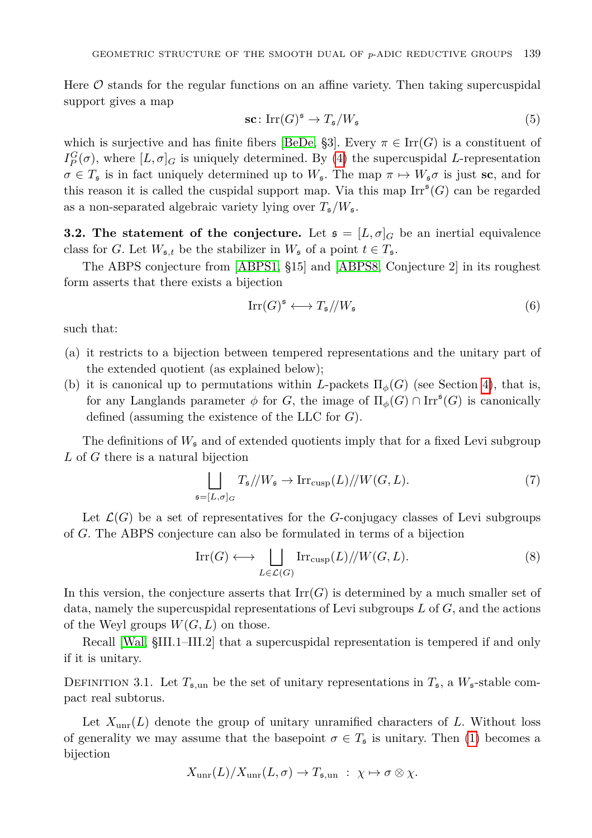Here  $\mathcal O$  stands for the regular functions on an affine variety. Then taking supercuspidal support gives a map

$$
\mathbf{sc} \colon \mathrm{Irr}(G)^{\mathfrak{s}} \to T_{\mathfrak{s}}/W_{\mathfrak{s}} \tag{5}
$$

which is surjective and has finite fibers [\[BeDe,](#page-14-0) §3]. Every  $\pi \in \text{Irr}(G)$  is a constituent of  $I_P^G(\sigma)$ , where  $[L, \sigma]_G$  is uniquely determined. By [\(4\)](#page-3-0) the supercuspidal *L*-representation  $\sigma \in T_{\mathfrak{s}}$  is in fact uniquely determined up to  $W_{\mathfrak{s}}$ . The map  $\pi \mapsto W_{\mathfrak{s}}\sigma$  is just **sc**, and for this reason it is called the cuspidal support map. Via this map  $\mathrm{Irr}^{\mathfrak{s}}(G)$  can be regarded as a non-separated algebraic variety lying over  $T_{\rm s}/W_{\rm s}$ .

**3.2.** The statement of the conjecture. Let  $\mathfrak{s} = [L, \sigma]_G$  be an inertial equivalence class for *G*. Let  $W_{\mathfrak{s},t}$  be the stabilizer in  $W_{\mathfrak{s}}$  of a point  $t \in T_{\mathfrak{s}}$ .

The ABPS conjecture from [\[ABPS1,](#page-13-3) §15] and [\[ABPS8,](#page-13-10) Conjecture 2] in its roughest form asserts that there exists a bijection

<span id="page-4-0"></span>
$$
\operatorname{Irr}(G)^{\mathfrak{s}} \longleftrightarrow T_{\mathfrak{s}}/\!/W_{\mathfrak{s}} \tag{6}
$$

such that:

- (a) it restricts to a bijection between tempered representations and the unitary part of the extended quotient (as explained below);
- (b) it is canonical up to permutations within *L*-packets  $\Pi_{\phi}(G)$  (see Section [4\)](#page-5-0), that is, for any Langlands parameter  $\phi$  for *G*, the image of  $\Pi_{\phi}(G) \cap \text{Irr}^{\mathfrak{s}}(G)$  is canonically defined (assuming the existence of the LLC for *G*).

The definitions of  $W_{\mathfrak{s}}$  and of extended quotients imply that for a fixed Levi subgroup *L* of *G* there is a natural bijection

$$
\bigsqcup_{\mathfrak{s}=[L,\sigma]_G} T_{\mathfrak{s}}/\!/W_{\mathfrak{s}} \to \operatorname{Irr}_{\operatorname{cusp}}(L)/\!/W(G,L). \tag{7}
$$

Let  $\mathcal{L}(G)$  be a set of representatives for the *G*-conjugacy classes of Levi subgroups of *G*. The ABPS conjecture can also be formulated in terms of a bijection

$$
\operatorname{Irr}(G) \longleftrightarrow \bigsqcup_{L \in \mathcal{L}(G)} \operatorname{Irr}_{\operatorname{cusp}}(L) / / W(G, L). \tag{8}
$$

In this version, the conjecture asserts that  $\mathrm{Irr}(G)$  is determined by a much smaller set of data, namely the supercuspidal representations of Levi subgroups *L* of *G*, and the actions of the Weyl groups  $W(G, L)$  on those.

Recall [\[Wal,](#page-15-0) §III.1–III.2] that a supercuspidal representation is tempered if and only if it is unitary.

<span id="page-4-1"></span>DEFINITION 3.1. Let  $T_{\mathfrak{s},\text{un}}$  be the set of unitary representations in  $T_{\mathfrak{s}}$ , a  $W_{\mathfrak{s}}$ -stable compact real subtorus.

Let  $X_{\text{unr}}(L)$  denote the group of unitary unramified characters of L. Without loss of generality we may assume that the basepoint  $\sigma \in T_{\mathfrak{s}}$  is unitary. Then [\(1\)](#page-3-1) becomes a bijection

$$
X_{\text{unr}}(L)/X_{\text{unr}}(L,\sigma) \to T_{\mathfrak{s},\text{un}} \; : \; \chi \mapsto \sigma \otimes \chi.
$$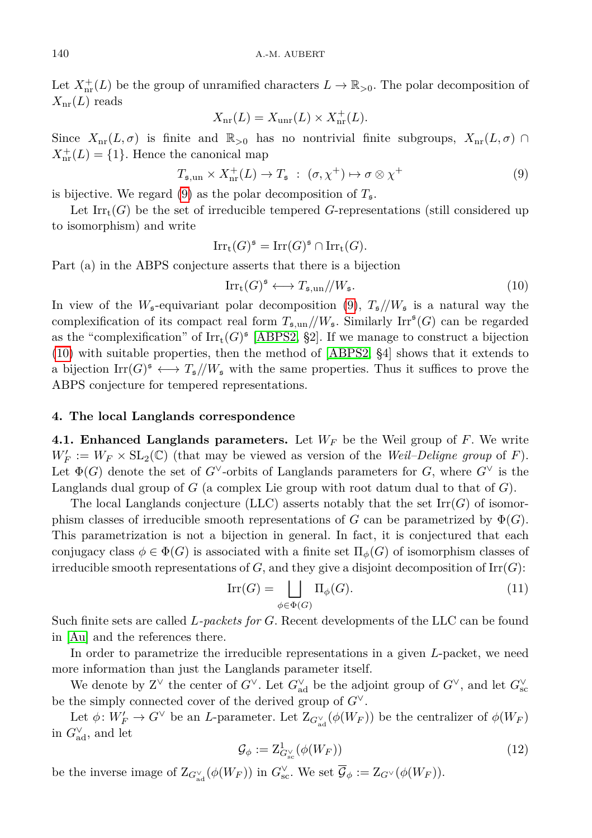Let  $X_{\text{nr}}^{+}(L)$  be the group of unramified characters  $L \to \mathbb{R}_{>0}$ . The polar decomposition of  $X_{\text{nr}}(L)$  reads

<span id="page-5-1"></span>
$$
X_{\text{nr}}(L) = X_{\text{unr}}(L) \times X_{\text{nr}}^+(L).
$$

Since  $X_{\text{nr}}(L,\sigma)$  is finite and  $\mathbb{R}_{>0}$  has no nontrivial finite subgroups,  $X_{\text{nr}}(L,\sigma)$  $X_{\text{nr}}^{+}(L) = \{1\}$ . Hence the canonical map

$$
T_{\mathfrak{s},\text{un}} \times X_{\text{nr}}^+(L) \to T_{\mathfrak{s}} \; : \; (\sigma, \chi^+) \mapsto \sigma \otimes \chi^+ \tag{9}
$$

is bijective. We regard [\(9\)](#page-5-1) as the polar decomposition of  $T_{\mathfrak{s}}$ .

Let  $\text{Irr}_{t}(G)$  be the set of irreducible tempered G-representations (still considered up to isomorphism) and write

$$
\operatorname{Irr}_{\operatorname{t}}(G)^{\mathfrak{s}} = \operatorname{Irr}(G)^{\mathfrak{s}} \cap \operatorname{Irr}_{\operatorname{t}}(G).
$$

Part (a) in the ABPS conjecture asserts that there is a bijection

<span id="page-5-2"></span>
$$
\operatorname{Irr}_{\operatorname{t}}(G)^{\operatorname{s}} \longleftrightarrow T_{\operatorname{\mathfrak{s}},\operatorname{un}}/\!/W_{\operatorname{\mathfrak{s}}}.\tag{10}
$$

In view of the  $W_s$ -equivariant polar decomposition [\(9\)](#page-5-1),  $T_s$ // $W_s$  is a natural way the complexification of its compact real form  $T_{\mathfrak{s},\text{un}}/W_{\mathfrak{s}}$ . Similarly  $\text{Irr}^{\mathfrak{s}}(G)$  can be regarded as the "complexification" of  $\text{Irr}_{t}(G)^{\mathfrak{s}}$  [\[ABPS2,](#page-13-4) §2]. If we manage to construct a bijection [\(10\)](#page-5-2) with suitable properties, then the method of [\[ABPS2,](#page-13-4) §4] shows that it extends to a bijection  $\text{Irr}(G)^{\mathfrak{s}} \longleftrightarrow T_{\mathfrak{s}}/W_{\mathfrak{s}}$  with the same properties. Thus it suffices to prove the ABPS conjecture for tempered representations.

#### <span id="page-5-0"></span>**4. The local Langlands correspondence**

**4.1. Enhanced Langlands parameters.** Let *W<sup>F</sup>* be the Weil group of *F*. We write  $W'_F := W_F \times SL_2(\mathbb{C})$  (that may be viewed as version of the *Weil–Deligne group* of *F*). Let  $\Phi(G)$  denote the set of *G*<sup> $\vee$ </sup>-orbits of Langlands parameters for *G*, where  $G^{\vee}$  is the Langlands dual group of *G* (a complex Lie group with root datum dual to that of *G*).

The local Langlands conjecture (LLC) asserts notably that the set  $\text{Irr}(G)$  of isomorphism classes of irreducible smooth representations of *G* can be parametrized by  $\Phi(G)$ . This parametrization is not a bijection in general. In fact, it is conjectured that each conjugacy class  $\phi \in \Phi(G)$  is associated with a finite set  $\Pi_{\phi}(G)$  of isomorphism classes of irreducible smooth representations of  $G$ , and they give a disjoint decomposition of  $\text{Irr}(G)$ :

$$
\operatorname{Irr}(G) = \bigsqcup_{\phi \in \Phi(G)} \Pi_{\phi}(G). \tag{11}
$$

Such finite sets are called *L-packets for G*. Recent developments of the LLC can be found in [\[Au\]](#page-13-14) and the references there.

In order to parametrize the irreducible representations in a given *L*-packet, we need more information than just the Langlands parameter itself.

We denote by  $Z^{\vee}$  the center of  $G^{\vee}$ . Let  $G^{\vee}_{ad}$  be the adjoint group of  $G^{\vee}$ , and let  $G^{\vee}_{sc}$ be the simply connected cover of the derived group of  $G^\vee.$ 

<span id="page-5-3"></span>Let  $\phi: W_F' \to G^{\vee}$  be an *L*-parameter. Let  $Z_{G_{ad}^{\vee}}(\phi(W_F))$  be the centralizer of  $\phi(W_F)$ in  $G_{\text{ad}}^{\vee}$ , and let

$$
\mathcal{G}_{\phi} := \mathcal{Z}_{G_{\mathrm{sc}}^{\vee}}^{1}(\phi(W_{F})) \tag{12}
$$

be the inverse image of  $Z_{G_{ad}}(\phi(W_F))$  in  $G_{sc}^{\vee}$ . We set  $\overline{\mathcal{G}}_{\phi} := Z_{G^{\vee}}(\phi(W_F)).$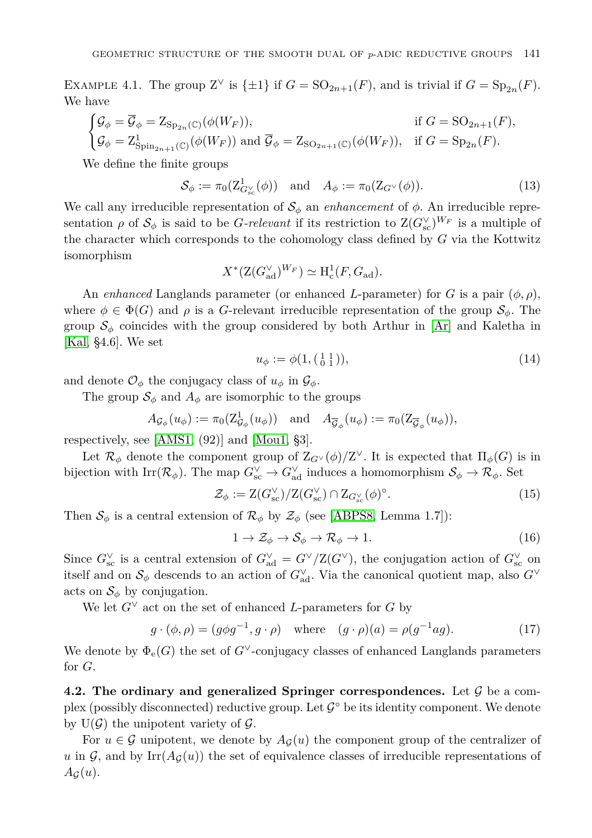EXAMPLE 4.1. The group  $Z^{\vee}$  is  $\{\pm 1\}$  if  $G = SO_{2n+1}(F)$ , and is trivial if  $G = Sp_{2n}(F)$ . We have

$$
\begin{cases} \mathcal{G}_{\phi} = \overline{\mathcal{G}}_{\phi} = Z_{\mathrm{Sp}_{2n}(\mathbb{C})}(\phi(W_F)), & \text{if } G = \mathrm{SO}_{2n+1}(F), \\ \mathcal{G}_{\phi} = Z_{\mathrm{Spin}_{2n+1}(\mathbb{C})}^1(\phi(W_F)) \text{ and } \overline{\mathcal{G}}_{\phi} = Z_{\mathrm{SO}_{2n+1}(\mathbb{C})}(\phi(W_F)), & \text{if } G = \mathrm{Sp}_{2n}(F). \end{cases}
$$

We define the finite groups

$$
\mathcal{S}_{\phi} := \pi_0(\mathcal{Z}_{G_{\mathrm{sc}}^{\vee}}^1(\phi)) \quad \text{and} \quad A_{\phi} := \pi_0(\mathcal{Z}_{G^{\vee}}(\phi)). \tag{13}
$$

We call any irreducible representation of  $S_{\phi}$  an *enhancement* of  $\phi$ . An irreducible representation  $\rho$  of  $\mathcal{S}_{\phi}$  is said to be *G-relevant* if its restriction to  $\mathcal{Z}(G_{\text{sc}}^{\vee})^{W_F}$  is a multiple of the character which corresponds to the cohomology class defined by *G* via the Kottwitz isomorphism

$$
X^*(\mathcal{Z}(G_{\mathrm{ad}}^{\vee})^{W_F}) \simeq \mathrm{H}^1_{\mathrm{c}}(F, G_{\mathrm{ad}}).
$$

An *enhanced* Langlands parameter (or enhanced *L*-parameter) for *G* is a pair (*φ, ρ*), where  $\phi \in \Phi(G)$  and  $\rho$  is a *G*-relevant irreducible representation of the group  $\mathcal{S}_{\phi}$ . The group  $S_\phi$  coincides with the group considered by both Arthur in [\[Ar\]](#page-13-15) and Kaletha in [\[Kal,](#page-14-1) §4.6]. We set

$$
u_{\phi} := \phi(1, \left(\begin{smallmatrix} 1 & 1 \\ 0 & 1 \end{smallmatrix}\right)),\tag{14}
$$

and denote  $\mathcal{O}_{\phi}$  the conjugacy class of  $u_{\phi}$  in  $\mathcal{G}_{\phi}$ .

The group  $S_\phi$  and  $A_\phi$  are isomorphic to the groups

$$
A_{\mathcal{G}_{\phi}}(u_{\phi}) := \pi_0(\mathcal{Z}_{\mathcal{G}_{\phi}}^1(u_{\phi})) \quad \text{and} \quad A_{\overline{\mathcal{G}}_{\phi}}(u_{\phi}) := \pi_0(\mathcal{Z}_{\overline{\mathcal{G}}_{\phi}}(u_{\phi})),
$$

respectively, see [\[AMS1,](#page-13-13) (92)] and [\[Mou1,](#page-14-2) §3].

Let  $\mathcal{R}_{\phi}$  denote the component group of  $Z_{G^{\vee}}(\phi)/Z^{\vee}$ . It is expected that  $\Pi_{\phi}(G)$  is in bijection with  $\text{Irr}(\mathcal{R}_{\phi})$ . The map  $G_{\text{sc}}^{\vee} \to G_{\text{ad}}^{\vee}$  induces a homomorphism  $\mathcal{S}_{\phi} \to \mathcal{R}_{\phi}$ . Set

$$
\mathcal{Z}_{\phi} := \mathcal{Z}(G_{\rm sc}^{\vee}) / \mathcal{Z}(G_{\rm sc}^{\vee}) \cap \mathcal{Z}_{G_{\rm sc}}(\phi)^{\circ}.
$$
 (15)

Then  $\mathcal{S}_{\phi}$  is a central extension of  $\mathcal{R}_{\phi}$  by  $\mathcal{Z}_{\phi}$  (see [\[ABPS8,](#page-13-10) Lemma 1.7]):

$$
1 \to \mathcal{Z}_{\phi} \to \mathcal{S}_{\phi} \to \mathcal{R}_{\phi} \to 1. \tag{16}
$$

Since  $G_{\text{sc}}^{\vee}$  is a central extension of  $G_{\text{ad}}^{\vee} = G^{\vee}/\mathbb{Z}(G^{\vee})$ , the conjugation action of  $G_{\text{sc}}^{\vee}$  on itself and on  $\mathcal{S}_{\phi}$  descends to an action of  $G_{\text{ad}}^{\vee}$ . Via the canonical quotient map, also  $G^{\vee}$ acts on  $\mathcal{S}_{\phi}$  by conjugation.

We let  $G^{\vee}$  act on the set of enhanced *L*-parameters for  $G$  by

$$
g \cdot (\phi, \rho) = (g \phi g^{-1}, g \cdot \rho) \quad \text{where} \quad (g \cdot \rho)(a) = \rho(g^{-1}ag). \tag{17}
$$

We denote by  $\Phi_e(G)$  the set of *G*<sup>∨</sup>-conjugacy classes of enhanced Langlands parameters for *G*.

**4.2.** The ordinary and generalized Springer correspondences. Let  $\mathcal{G}$  be a complex (possibly disconnected) reductive group. Let  $\mathcal{G}^{\circ}$  be its identity component. We denote by  $U(\mathcal{G})$  the unipotent variety of  $\mathcal{G}$ .

For  $u \in \mathcal{G}$  unipotent, we denote by  $A_{\mathcal{G}}(u)$  the component group of the centralizer of *u* in  $\mathcal{G}$ , and by Irr( $A_{\mathcal{G}}(u)$ ) the set of equivalence classes of irreducible representations of  $A_G(u)$ .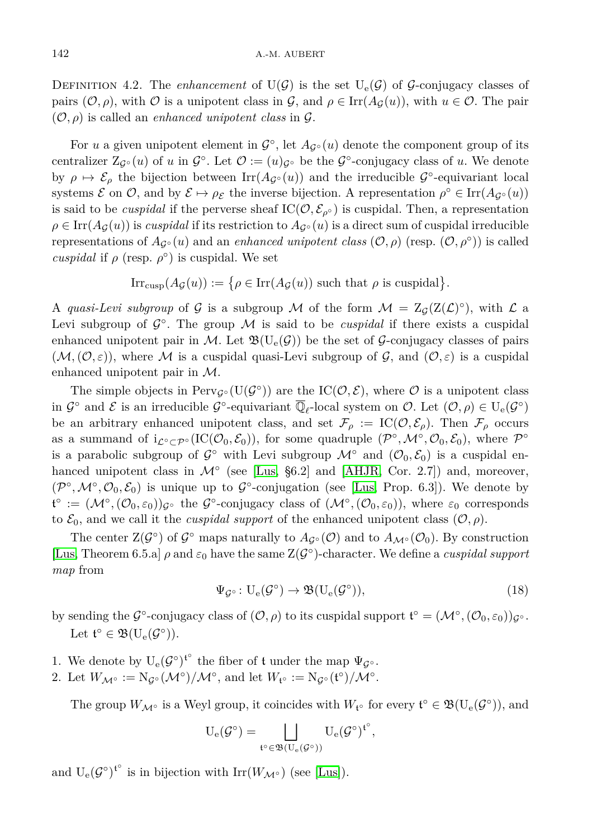DEFINITION 4.2. The *enhancement* of  $U(\mathcal{G})$  is the set  $U_e(\mathcal{G})$  of  $\mathcal{G}$ -conjugacy classes of pairs  $(\mathcal{O}, \rho)$ , with  $\mathcal O$  is a unipotent class in  $\mathcal G$ , and  $\rho \in \text{Irr}(A_{\mathcal G}(u))$ , with  $u \in \mathcal O$ . The pair (O*, ρ*) is called an *enhanced unipotent class* in G.

For *u* a given unipotent element in  $\mathcal{G}^{\circ}$ , let  $A_{\mathcal{G}^{\circ}}(u)$  denote the component group of its centralizer  $Z_{\mathcal{G}^{\circ}}(u)$  of *u* in  $\mathcal{G}^{\circ}$ . Let  $\mathcal{O} := (u)_{\mathcal{G}^{\circ}}$  be the  $\mathcal{G}^{\circ}$ -conjugacy class of *u*. We denote by  $\rho \mapsto \mathcal{E}_{\rho}$  the bijection between  $\text{Irr}(A_{\mathcal{G}^{\circ}}(u))$  and the irreducible  $\mathcal{G}^{\circ}$ -equivariant local systems  $\mathcal E$  on  $\mathcal O$ , and by  $\mathcal E \mapsto \rho_{\mathcal E}$  the inverse bijection. A representation  $\rho^{\circ} \in \text{Irr}(A_{\mathcal G^{\circ}}(u))$ is said to be *cuspidal* if the perverse sheaf  $\text{IC}(\mathcal{O}, \mathcal{E}_{\rho^{\circ}})$  is cuspidal. Then, a representation  $\rho \in \text{Irr}(A_{\mathcal{G}}(u))$  is *cuspidal* if its restriction to  $A_{\mathcal{G}^{\circ}}(u)$  is a direct sum of cuspidal irreducible representations of  $A_{\mathcal{G}^{\circ}}(u)$  and an *enhanced unipotent class*  $(\mathcal{O}, \rho)$  (resp.  $(\mathcal{O}, \rho^{\circ})$ ) is called *cuspidal* if  $\rho$  (resp.  $\rho^{\circ}$ ) is cuspidal. We set

 $\text{Irr}_{\text{cusp}}(A_{\mathcal{G}}(u)) := \{ \rho \in \text{Irr}(A_{\mathcal{G}}(u)) \text{ such that } \rho \text{ is cuspidal} \}.$ 

A *quasi-Levi subgroup* of G is a subgroup M of the form  $M = Z_{\mathcal{G}}(Z(\mathcal{L})^{\circ})$ , with  $\mathcal{L}$  a Levi subgroup of  $\mathcal{G}^{\circ}$ . The group M is said to be *cuspidal* if there exists a cuspidal enhanced unipotent pair in M. Let  $\mathfrak{B}(U_e(\mathcal{G}))$  be the set of G-conjugacy classes of pairs  $(\mathcal{M},(\mathcal{O},\varepsilon))$ , where M is a cuspidal quasi-Levi subgroup of  $\mathcal{G}$ , and  $(\mathcal{O},\varepsilon)$  is a cuspidal enhanced unipotent pair in M.

The simple objects in  $Perv_{\mathcal{G}^{\circ}}(U(\mathcal{G}^{\circ}))$  are the  $IC(\mathcal{O}, \mathcal{E})$ , where  $\mathcal O$  is a unipotent class in  $\mathcal{G}^{\circ}$  and  $\mathcal{E}$  is an irreducible  $\mathcal{G}^{\circ}$ -equivariant  $\overline{\mathbb{Q}}_{\ell}$ -local system on  $\mathcal{O}$ . Let  $(\mathcal{O}, \rho) \in U_{e}(\mathcal{G}^{\circ})$ be an arbitrary enhanced unipotent class, and set  $\mathcal{F}_{\rho} := \text{IC}(\mathcal{O}, \mathcal{E}_{\rho})$ . Then  $\mathcal{F}_{\rho}$  occurs as a summand of  $i_{\mathcal{L}^\circ \subset \mathcal{P}^\circ}(\mathrm{IC}(\mathcal{O}_0, \mathcal{E}_0)),$  for some quadruple  $(\mathcal{P}^\circ, \mathcal{M}^\circ, \mathcal{O}_0, \mathcal{E}_0),$  where  $\mathcal{P}^\circ$ is a parabolic subgroup of  $\mathcal{G}^{\circ}$  with Levi subgroup  $\mathcal{M}^{\circ}$  and  $(\mathcal{O}_0, \mathcal{E}_0)$  is a cuspidal enhanced unipotent class in  $\mathcal{M}^{\circ}$  (see [\[Lus,](#page-14-3) §6.2] and [\[AHJR,](#page-12-0) Cor. 2.7]) and, moreover,  $(\mathcal{P}^{\circ},\mathcal{M}^{\circ},\mathcal{O}_0,\mathcal{E}_0)$  is unique up to  $\mathcal{G}^{\circ}$ -conjugation (see [\[Lus,](#page-14-3) Prop. 6.3]). We denote by  $f^{\circ} := (\mathcal{M}^{\circ},(\mathcal{O}_0,\varepsilon_0))_{\mathcal{G}^{\circ}}$  the  $\mathcal{G}^{\circ}$ -conjugacy class of  $(\mathcal{M}^{\circ},(\mathcal{O}_0,\varepsilon_0))$ , where  $\varepsilon_0$  corresponds to  $\mathcal{E}_0$ , and we call it the *cuspidal support* of the enhanced unipotent class  $(\mathcal{O}, \rho)$ .

<span id="page-7-0"></span>The center  $Z(\mathcal{G}^{\circ})$  of  $\mathcal{G}^{\circ}$  maps naturally to  $A_{\mathcal{G}^{\circ}}(\mathcal{O})$  and to  $A_{\mathcal{M}^{\circ}}(\mathcal{O}_0)$ . By construction [\[Lus,](#page-14-3) Theorem 6.5.a]  $\rho$  and  $\varepsilon_0$  have the same  $Z(\mathcal{G}^{\circ})$ -character. We define a *cuspidal support map* from

$$
\Psi_{\mathcal{G}^{\circ}} \colon U_{e}(\mathcal{G}^{\circ}) \to \mathfrak{B}(U_{e}(\mathcal{G}^{\circ})), \tag{18}
$$

by sending the  $\mathcal{G}^{\circ}$ -conjugacy class of  $(\mathcal{O}, \rho)$  to its cuspidal support  $\mathfrak{t}^{\circ} = (\mathcal{M}^{\circ}, (\mathcal{O}_0, \varepsilon_0))_{\mathcal{G}^{\circ}}$ . Let  $\mathfrak{t}^{\circ} \in \mathfrak{B}(U_{e}(\mathcal{G}^{\circ})).$ 

- 1. We denote by  $U_e(\mathcal{G}^{\circ})^{t^{\circ}}$  the fiber of t under the map  $\Psi_{\mathcal{G}^{\circ}}$ .
- 2. Let  $W_{\mathcal{M}^{\circ}} := N_{\mathcal{G}^{\circ}}(\mathcal{M}^{\circ})/\mathcal{M}^{\circ}$ , and let  $W_{\mathfrak{t}^{\circ}} := N_{\mathcal{G}^{\circ}}(\mathfrak{t}^{\circ})/\mathcal{M}^{\circ}$ .

The group  $W_{\mathcal{M}}$ <sup>°</sup> is a Weyl group, it coincides with  $W_{\mathfrak{t}^\circ}$  for every  $\mathfrak{t}^\circ \in \mathfrak{B}(U_{\mathfrak{e}}(\mathcal{G}^\circ))$ , and

$$
U_e(\mathcal{G}^\circ)=\bigsqcup_{\mathfrak{t}^\circ\in\mathfrak{B}(U_e(\mathcal{G}^\circ))}U_e(\mathcal{G}^\circ)^{\mathfrak{t}^\circ},
$$

and  $U_e(\mathcal{G}^{\circ})^{\mathfrak{t}^{\circ}}$  is in bijection with  $\mathrm{Irr}(W_{\mathcal{M}^{\circ}})$  (see [\[Lus\]](#page-14-3)).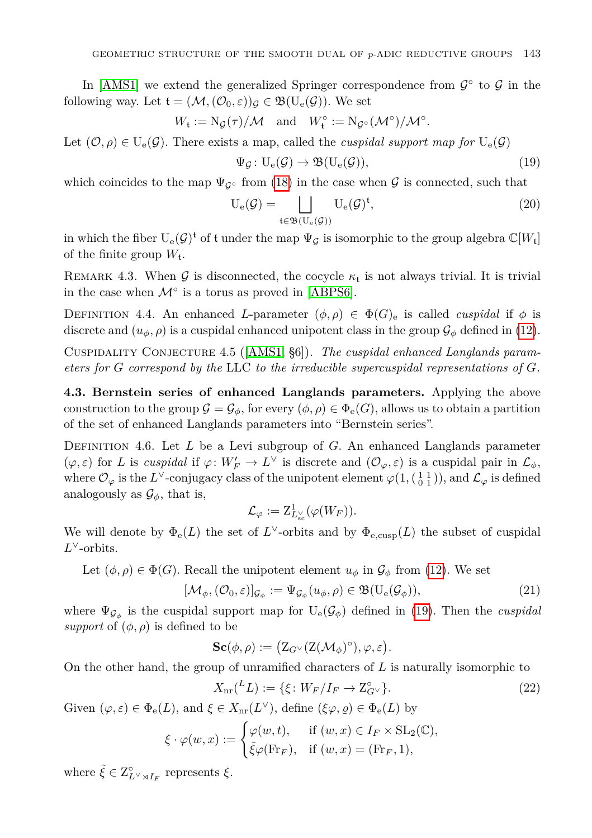In [\[AMS1\]](#page-13-13) we extend the generalized Springer correspondence from  $\mathcal{G}^{\circ}$  to  $\mathcal{G}$  in the following way. Let  $\mathfrak{t} = (\mathcal{M},(\mathcal{O}_0,\varepsilon))_{\mathcal{G}} \in \mathfrak{B}(U_e(\mathcal{G}))$ . We set

$$
W_{\mathfrak{t}} := \mathrm{N}_\mathcal{G}(\tau)/\mathcal{M} \quad \text{and} \quad W_{\mathfrak{t}}^\circ := \mathrm{N}_{\mathcal{G}^\circ}(\mathcal{M}^\circ)/\mathcal{M}^\circ.
$$

Let  $(\mathcal{O}, \rho) \in U_e(\mathcal{G})$ . There exists a map, called the *cuspidal support map for*  $U_e(\mathcal{G})$ 

<span id="page-8-0"></span>
$$
\Psi_{\mathcal{G}}\colon U_{e}(\mathcal{G}) \to \mathfrak{B}(U_{e}(\mathcal{G})),\tag{19}
$$

which coincides to the map  $\Psi_{\mathcal{G}^{\circ}}$  from [\(18\)](#page-7-0) in the case when  $\mathcal{G}$  is connected, such that

$$
U_e(\mathcal{G}) = \bigsqcup_{\mathfrak{t} \in \mathfrak{B}(U_e(\mathcal{G}))} U_e(\mathcal{G})^{\mathfrak{t}},\tag{20}
$$

in which the fiber  $U_e(G)^t$  of t under the map  $\Psi_{\mathcal{G}}$  is isomorphic to the group algebra  $\mathbb{C}[W_t]$ of the finite group  $W_t$ .

REMARK 4.3. When  $\mathcal G$  is disconnected, the cocycle  $\kappa_t$  is not always trivial. It is trivial in the case when  $\mathcal{M}^\circ$  is a torus as proved in [\[ABPS6\]](#page-13-8).

DEFINITION 4.4. An enhanced *L*-parameter  $(\phi, \rho) \in \Phi(G)$ <sub>e</sub> is called *cuspidal* if  $\phi$  is discrete and  $(u_{\phi}, \rho)$  is a cuspidal enhanced unipotent class in the group  $\mathcal{G}_{\phi}$  defined in [\(12\)](#page-5-3).

<span id="page-8-1"></span>Cuspidality Conjecture 4.5 ([\[AMS1,](#page-13-13) §6]). *The cuspidal enhanced Langlands parameters for G correspond by the* LLC *to the irreducible supercuspidal representations of G.*

**4.3. Bernstein series of enhanced Langlands parameters.** Applying the above construction to the group  $\mathcal{G} = \mathcal{G}_{\phi}$ , for every  $(\phi, \rho) \in \Phi_{\mathrm{e}}(G)$ , allows us to obtain a partition of the set of enhanced Langlands parameters into "Bernstein series".

DEFINITION 4.6. Let *L* be a Levi subgroup of *G*. An enhanced Langlands parameter  $(\varphi, \varepsilon)$  for *L* is *cuspidal* if  $\varphi: W_F' \to L^{\vee}$  is discrete and  $(\mathcal{O}_{\varphi}, \varepsilon)$  is a cuspidal pair in  $\mathcal{L}_{\phi}$ , where  $\mathcal{O}_{\varphi}$  is the *L*<sup>V</sup>-conjugacy class of the unipotent element  $\varphi(1, \left(\begin{smallmatrix}1&1\\0&1\end{smallmatrix}\right))$ , and  $\mathcal{L}_{\varphi}$  is defined analogously as  $\mathcal{G}_{\phi}$ , that is,

$$
\mathcal{L}_{\varphi}:=\mathrm{Z}_{L_{\mathrm{sc}}^{\vee}}^1(\varphi(W_{F})).
$$

We will denote by  $\Phi_e(L)$  the set of  $L^{\vee}$ -orbits and by  $\Phi_{e,\text{cusp}}(L)$  the subset of cuspidal *L* <sup>∨</sup>-orbits.

Let  $(\phi, \rho) \in \Phi(G)$ . Recall the unipotent element  $u_{\phi}$  in  $\mathcal{G}_{\phi}$  from [\(12\)](#page-5-3). We set

$$
[\mathcal{M}_{\phi},(\mathcal{O}_{0},\varepsilon)]_{\mathcal{G}_{\phi}} := \Psi_{\mathcal{G}_{\phi}}(u_{\phi},\rho) \in \mathfrak{B}(\mathrm{U}_{\mathrm{e}}(\mathcal{G}_{\phi})),\tag{21}
$$

where  $\Psi_{\mathcal{G}_{\phi}}$  is the cuspidal support map for  $U_{e}(\mathcal{G}_{\phi})$  defined in [\(19\)](#page-8-0). Then the *cuspidal support* of  $(\phi, \rho)$  is defined to be

$$
\mathbf{Sc}(\phi,\rho) := \big( Z_{G^\vee}(Z(\mathcal{M}_\phi)^\circ), \varphi, \varepsilon \big).
$$

On the other hand, the group of unramified characters of *L* is naturally isomorphic to

$$
X_{\rm nr}(^L L) := \{ \xi \colon W_F / I_F \to Z_{G^{\vee}}^{\circ} \}. \tag{22}
$$

Given  $(\varphi, \varepsilon) \in \Phi_{e}(L)$ , and  $\xi \in X_{\text{nr}}(L^{\vee})$ , define  $(\xi \varphi, \varrho) \in \Phi_{e}(L)$  by

$$
\xi \cdot \varphi(w, x) := \begin{cases} \varphi(w, t), & \text{if } (w, x) \in I_F \times \text{SL}_2(\mathbb{C}), \\ \tilde{\xi} \varphi(\text{Fr}_F), & \text{if } (w, x) = (\text{Fr}_F, 1), \end{cases}
$$

where  $\tilde{\xi} \in \mathbb{Z}_{L^{\vee} \rtimes I_F}^{\circ}$  represents  $\xi$ .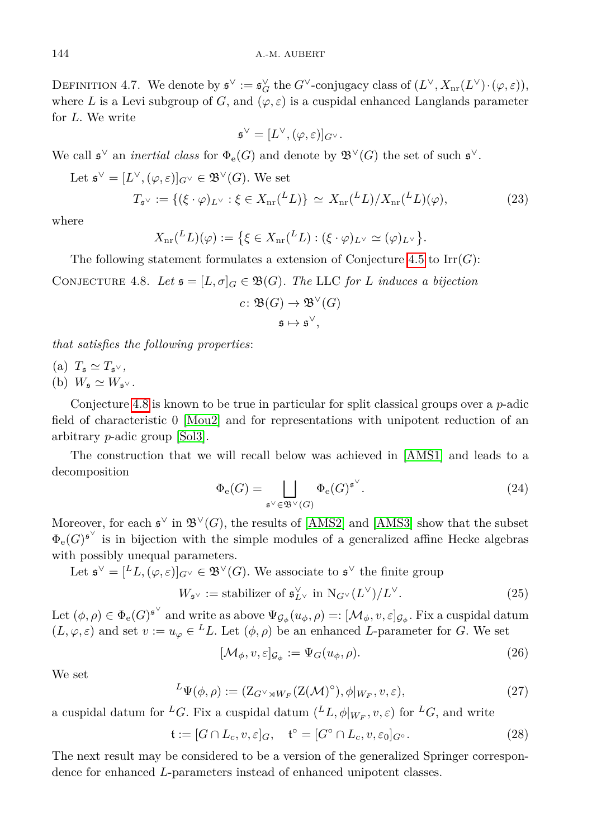DEFINITION 4.7. We denote by  $\mathfrak{s}^{\vee} := \mathfrak{s}_G^{\vee}$  the  $G^{\vee}$ -conjugacy class of  $(L^{\vee}, X_{\text{nr}}(L^{\vee}) \cdot (\varphi, \varepsilon)),$ where *L* is a Levi subgroup of *G*, and  $(\varphi, \varepsilon)$  is a cuspidal enhanced Langlands parameter for *L*. We write

$$
\mathfrak{s}^\vee = [L^\vee, (\varphi, \varepsilon)]_{G^\vee}.
$$

We call  $\mathfrak{s}^{\vee}$  an *inertial class* for  $\Phi_{e}(G)$  and denote by  $\mathfrak{B}^{\vee}(G)$  the set of such  $\mathfrak{s}^{\vee}$ .

Let 
$$
\mathfrak{s}^{\vee} = [L^{\vee}, (\varphi, \varepsilon)]_{G^{\vee}} \in \mathfrak{B}^{\vee}(G)
$$
. We set  
\n
$$
T_{\mathfrak{s}^{\vee}} := \{ (\xi \cdot \varphi)_{L^{\vee}} : \xi \in X_{\mathrm{nr}}(^{L}L) \} \simeq X_{\mathrm{nr}}(^{L}L)/X_{\mathrm{nr}}(^{L}L)(\varphi),
$$
\n(23)

where

$$
X_{\text{nr}}(L)(\varphi) := \big\{ \xi \in X_{\text{nr}}(L) : (\xi \cdot \varphi)_{L^{\vee}} \simeq (\varphi)_{L^{\vee}} \big\}.
$$

The following statement formulates a extension of Conjecture [4.5](#page-8-1) to  $\text{Irr}(G)$ :

<span id="page-9-0"></span>CONJECTURE 4.8. Let  $\mathfrak{s} = [L, \sigma]_G \in \mathfrak{B}(G)$ . The LLC for *L* induces a bijection

$$
c\colon \mathfrak{B}(G) \to \mathfrak{B}^\vee(G)
$$

$$
\mathfrak{s} \mapsto \mathfrak{s}^\vee,
$$

*that satisfies the following properties*:

(a)  $T_{\mathfrak{s}} \simeq T_{\mathfrak{s}^\vee}$ ,

(b)  $W_{\mathfrak{s}} \simeq W_{\mathfrak{s}^\vee}$ .

Conjecture [4.8](#page-9-0) is known to be true in particular for split classical groups over a *p*-adic field of characteristic 0 [\[Mou2\]](#page-14-4) and for representations with unipotent reduction of an arbitrary *p*-adic group [\[Sol3\]](#page-14-5).

<span id="page-9-1"></span>The construction that we will recall below was achieved in [\[AMS1\]](#page-13-13) and leads to a decomposition

$$
\Phi_{\mathbf{e}}(G) = \bigsqcup_{\mathfrak{s}^{\vee} \in \mathfrak{B}^{\vee}(G)} \Phi_{\mathbf{e}}(G)^{\mathfrak{s}^{\vee}}.
$$
\n(24)

Moreover, for each  $\mathfrak{s}^\vee$  in  $\mathfrak{B}^\vee(G)$ , the results of [\[AMS2\]](#page-13-16) and [\[AMS3\]](#page-13-17) show that the subset  $\Phi_{\mathsf{e}}(G)^{\mathfrak{s}^{\vee}}$  is in bijection with the simple modules of a generalized affine Hecke algebras with possibly unequal parameters.

Let  $\mathfrak{s}^{\vee} = [{}^L L, (\varphi, \varepsilon)]_{G}^{\vee} \in \mathfrak{B}^{\vee}(G)$ . We associate to  $\mathfrak{s}^{\vee}$  the finite group

$$
W_{\mathfrak{s}^\vee} := \text{stabilizer of } \mathfrak{s}_{L^\vee}^\vee \text{ in } \mathrm{N}_{G^\vee}(L^\vee)/L^\vee. \tag{25}
$$

Let  $(\phi, \rho) \in \Phi_e(G)^{\mathfrak{s}^\vee}$  and write as above  $\Psi_{\mathcal{G}_{\phi}}(u_{\phi}, \rho) =: [\mathcal{M}_{\phi}, v, \varepsilon]_{\mathcal{G}_{\phi}}$ . Fix a cuspidal datum  $(L, \varphi, \varepsilon)$  and set  $v := u_{\varphi} \in L$ . Let  $(\phi, \rho)$  be an enhanced *L*-parameter for *G*. We set

$$
[\mathcal{M}_{\phi}, v, \varepsilon]_{\mathcal{G}_{\phi}} := \Psi_G(u_{\phi}, \rho). \tag{26}
$$

We set

$$
{}^{L}\Psi(\phi,\rho) := (Z_{G^{\vee}\rtimes W_{F}}(Z(\mathcal{M})^{\circ}),\phi|_{W_{F}},\nu,\varepsilon),
$$
\n(27)

a cuspidal datum for <sup>L</sup>*G*. Fix a cuspidal datum  $({^L}L, \phi|_{W_F}, v, \varepsilon)$  for <sup>L</sup>*G*, and write

$$
\mathfrak{t} := [G \cap L_c, v, \varepsilon]_G, \quad \mathfrak{t}^\circ = [G^\circ \cap L_c, v, \varepsilon_0]_{G^\circ}.
$$
 (28)

<span id="page-9-2"></span>The next result may be considered to be a version of the generalized Springer correspondence for enhanced *L*-parameters instead of enhanced unipotent classes.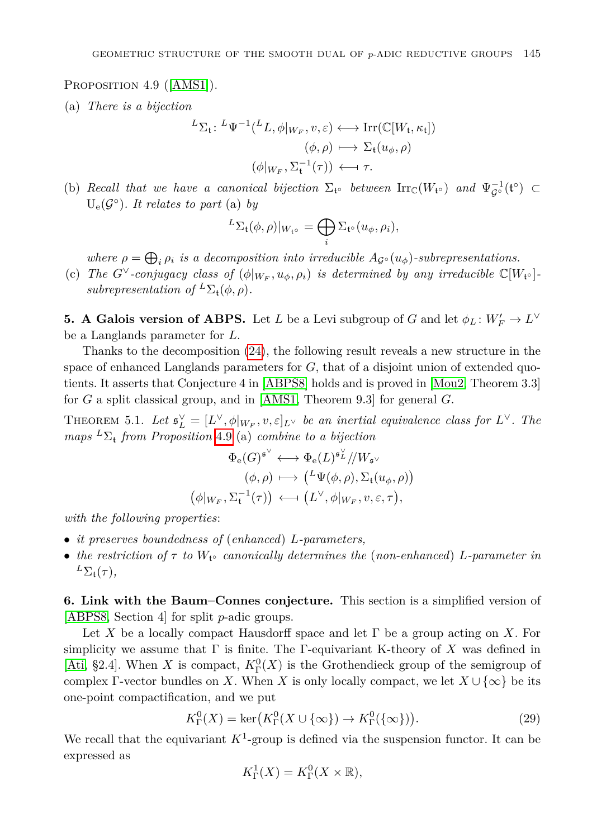PROPOSITION 4.9 ([\[AMS1\]](#page-13-13)).

(a) *There is a bijection*

$$
{}^{L}\Sigma_{\mathfrak{t}}: {}^{L}\Psi^{-1}({}^{L}L,\phi|_{W_{F}},v,\varepsilon) \longleftrightarrow \operatorname{Irr}(\mathbb{C}[W_{\mathfrak{t}},\kappa_{\mathfrak{t}}])
$$

$$
(\phi,\rho) \longmapsto \Sigma_{\mathfrak{t}}(u_{\phi},\rho)
$$

$$
(\phi|_{W_{F}},\Sigma_{\mathfrak{t}}^{-1}(\tau)) \longleftrightarrow \tau.
$$

(b) *Recall that we have a canonical bijection*  $\Sigma_{\mathfrak{t}^{\circ}}$  between  $\text{Irr}_{\mathbb{C}}(W_{\mathfrak{t}^{\circ}})$  and  $\Psi_{\mathcal{G}^{\circ}}^{-1}(\mathfrak{t}^{\circ}) \subset$  $U_e(\mathcal{G}^{\circ})$ *. It relates to part* (a) by

$$
{}^{L}\Sigma_{\mathfrak{t}}(\phi,\rho)|_{W_{\mathfrak{t}^{\circ}}}=\bigoplus_{i}\Sigma_{\mathfrak{t}^{\circ}}(u_{\phi},\rho_{i}),
$$

*where*  $\rho = \bigoplus_i \rho_i$  *is a decomposition into irreducible*  $A_{\mathcal{G}^{\circ}}(u_{\phi})$ *-subrepresentations.* 

(c) The  $G^{\vee}$ -conjugacy class of  $(\phi|_{W_F}, u_{\phi}, \rho_i)$  is determined by any irreducible  $\mathbb{C}[W_{\mathfrak{t}^{\circ}}]$ *subrepresentation of*  ${}^L\Sigma_{\mathfrak{t}}(\phi,\rho)$ *.* 

**5.** A Galois version of ABPS. Let *L* be a Levi subgroup of *G* and let  $\phi_L: W_F' \to L^{\vee}$ be a Langlands parameter for *L*.

Thanks to the decomposition [\(24\)](#page-9-1), the following result reveals a new structure in the space of enhanced Langlands parameters for *G*, that of a disjoint union of extended quotients. It asserts that Conjecture 4 in [\[ABPS8\]](#page-13-10) holds and is proved in [\[Mou2,](#page-14-4) Theorem 3.3] for *G* a split classical group, and in [\[AMS1,](#page-13-13) Theorem 9.3] for general *G*.

<span id="page-10-0"></span>THEOREM 5.1. Let  $\mathfrak{s}_L^{\vee} = [L^{\vee}, \phi|_{W_F}, v, \varepsilon]_{L^{\vee}}$  be an inertial equivalence class for  $L^{\vee}$ . The *maps*  ${}^L\Sigma_t$  *from Proposition* [4.9](#page-9-2) (a) *combine to a bijection* 

$$
\Phi_{\mathbf{e}}(G)^{\mathbf{s}^{\vee}} \longleftrightarrow \Phi_{\mathbf{e}}(L)^{\mathbf{s}^{\vee}} // W_{\mathbf{s}^{\vee}}
$$

$$
(\phi, \rho) \longmapsto ({}^{L}\Psi(\phi, \rho), \Sigma_{\mathbf{t}}(u_{\phi}, \rho))
$$

$$
(\phi|_{W_{F}}, \Sigma_{\mathbf{t}}^{-1}(\tau)) \longleftrightarrow (L^{\vee}, \phi|_{W_{F}}, v, \varepsilon, \tau),
$$

*with the following properties*:

- *it preserves boundedness of* (*enhanced*) *L-parameters,*
- *the restriction of τ to W*<sup>t</sup> *canonically determines the* (*non-enhanced*) *L-parameter in*  $L_{\Sigma_{\text{f}}}(\tau)$ ,

**6. Link with the Baum–Connes conjecture.** This section is a simplified version of [\[ABPS8,](#page-13-10) Section 4] for split *p*-adic groups.

Let X be a locally compact Hausdorff space and let  $\Gamma$  be a group acting on X. For simplicity we assume that Γ is finite. The Γ-equivariant K-theory of *X* was defined in [\[Ati,](#page-13-18) §2.4]. When *X* is compact,  $K^0_{\Gamma}(X)$  is the Grothendieck group of the semigroup of complex  $\Gamma$ -vector bundles on *X*. When *X* is only locally compact, we let  $X \cup \{\infty\}$  be its one-point compactification, and we put

$$
K_{\Gamma}^{0}(X) = \ker(K_{\Gamma}^{0}(X \cup \{\infty\}) \to K_{\Gamma}^{0}(\{\infty\})).
$$
\n(29)

We recall that the equivariant  $K^1$ -group is defined via the suspension functor. It can be expressed as

$$
K_{\Gamma}^{1}(X) = K_{\Gamma}^{0}(X \times \mathbb{R}),
$$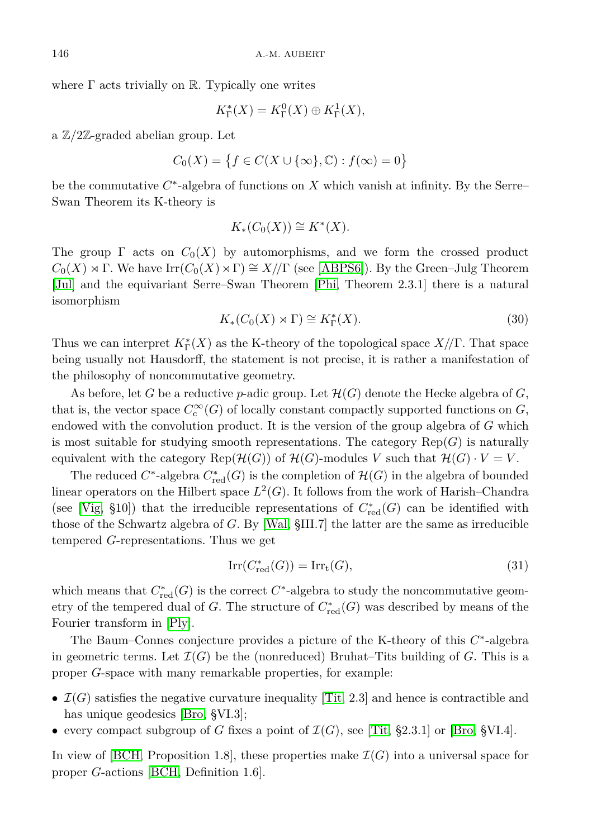where  $\Gamma$  acts trivially on  $\mathbb{R}$ . Typically one writes

$$
K_{\Gamma}^*(X) = K_{\Gamma}^0(X) \oplus K_{\Gamma}^1(X),
$$

a Z*/*2Z-graded abelian group. Let

$$
C_0(X) = \left\{ f \in C(X \cup \{\infty\}, \mathbb{C}) : f(\infty) = 0 \right\}
$$

be the commutative  $C^*$ -algebra of functions on  $X$  which vanish at infinity. By the Serre– Swan Theorem its K-theory is

$$
K_*(C_0(X)) \cong K^*(X).
$$

The group  $\Gamma$  acts on  $C_0(X)$  by automorphisms, and we form the crossed product  $C_0(X) \rtimes \Gamma$ . We have  $\text{Irr}(C_0(X) \rtimes \Gamma) \cong X/\Gamma$  (see [\[ABPS6\]](#page-13-8)). By the Green–Julg Theorem [\[Jul\]](#page-14-6) and the equivariant Serre–Swan Theorem [\[Phi,](#page-14-7) Theorem 2.3.1] there is a natural isomorphism

$$
K_*(C_0(X) \rtimes \Gamma) \cong K^*_\Gamma(X). \tag{30}
$$

Thus we can interpret  $K^*_{\Gamma}(X)$  as the K-theory of the topological space  $X/\!/\Gamma$ . That space being usually not Hausdorff, the statement is not precise, it is rather a manifestation of the philosophy of noncommutative geometry.

As before, let *G* be a reductive *p*-adic group. Let  $\mathcal{H}(G)$  denote the Hecke algebra of *G*, that is, the vector space  $C_c^{\infty}(G)$  of locally constant compactly supported functions on  $G$ , endowed with the convolution product. It is the version of the group algebra of *G* which is most suitable for studying smooth representations. The category  $\text{Rep}(G)$  is naturally equivalent with the category Rep( $\mathcal{H}(G)$ ) of  $\mathcal{H}(G)$ -modules *V* such that  $\mathcal{H}(G) \cdot V = V$ .

The reduced  $C^*$ -algebra  $C^*_{red}(G)$  is the completion of  $\mathcal{H}(G)$  in the algebra of bounded linear operators on the Hilbert space  $L^2(G)$ . It follows from the work of Harish–Chandra (see [\[Vig,](#page-15-1) §10]) that the irreducible representations of  $C^*_{red}(G)$  can be identified with those of the Schwartz algebra of *G*. By [\[Wal,](#page-15-0) §III.7] the latter are the same as irreducible tempered *G*-representations. Thus we get

$$
Irr(C_{red}^*(G)) = Irr_t(G),\tag{31}
$$

which means that  $C^*_{red}(G)$  is the correct  $C^*$ -algebra to study the noncommutative geometry of the tempered dual of *G*. The structure of  $C^*_{red}(G)$  was described by means of the Fourier transform in [\[Ply\]](#page-14-8).

The Baum–Connes conjecture provides a picture of the K-theory of this  $C^*$ -algebra in geometric terms. Let  $\mathcal{I}(G)$  be the (nonreduced) Bruhat–Tits building of *G*. This is a proper *G*-space with many remarkable properties, for example:

- $\mathcal{I}(G)$  satisfies the negative curvature inequality [\[Tit,](#page-14-9) 2.3] and hence is contractible and has unique geodesics [\[Bro,](#page-14-10) §VI.3];
- every compact subgroup of *G* fixes a point of  $\mathcal{I}(G)$ , see [\[Tit,](#page-14-9) §2.3.1] or [\[Bro,](#page-14-10) §VI.4].

In view of [\[BCH,](#page-14-11) Proposition 1.8], these properties make  $\mathcal{I}(G)$  into a universal space for proper *G*-actions [\[BCH,](#page-14-11) Definition 1.6].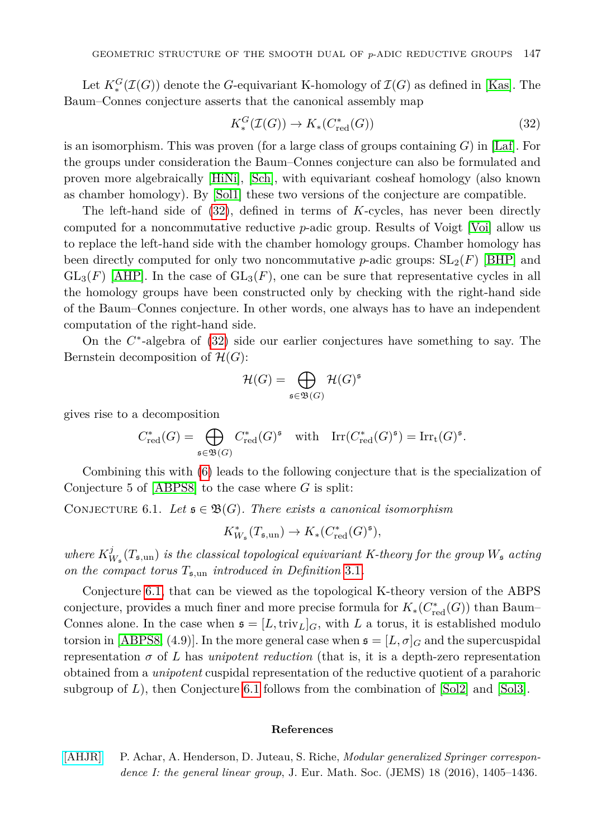Let  $K_*^G(\mathcal{I}(G))$  denote the *G*-equivariant K-homology of  $\mathcal{I}(G)$  as defined in [\[Kas\]](#page-14-12). The Baum–Connes conjecture asserts that the canonical assembly map

<span id="page-12-1"></span>
$$
K_*^G(\mathcal{I}(G)) \to K_*(C_{\text{red}}^*(G))
$$
\n
$$
(32)
$$

is an isomorphism. This was proven (for a large class of groups containing *G*) in [\[Laf\]](#page-14-13). For the groups under consideration the Baum–Connes conjecture can also be formulated and proven more algebraically [\[HiNi\]](#page-14-14), [\[Sch\]](#page-14-15), with equivariant cosheaf homology (also known as chamber homology). By [\[Sol1\]](#page-14-16) these two versions of the conjecture are compatible.

The left-hand side of [\(32\)](#page-12-1), defined in terms of *K*-cycles, has never been directly computed for a noncommutative reductive *p*-adic group. Results of Voigt [\[Voi\]](#page-15-2) allow us to replace the left-hand side with the chamber homology groups. Chamber homology has been directly computed for only two noncommutative *p*-adic groups:  $SL_2(F)$  [\[BHP\]](#page-14-17) and  $GL_3(F)$  [\[AHP\]](#page-13-19). In the case of  $GL_3(F)$ , one can be sure that representative cycles in all the homology groups have been constructed only by checking with the right-hand side of the Baum–Connes conjecture. In other words, one always has to have an independent computation of the right-hand side.

On the *C* ∗ -algebra of [\(32\)](#page-12-1) side our earlier conjectures have something to say. The Bernstein decomposition of  $\mathcal{H}(G)$ :

$$
\mathcal{H}(G) = \bigoplus_{\mathfrak{s} \in \mathfrak{B}(G)} \mathcal{H}(G)^{\mathfrak{s}}
$$

gives rise to a decomposition

$$
C^*_{\text{red}}(G) = \bigoplus_{\mathfrak{s} \in \mathfrak{B}(G)} C^*_{\text{red}}(G)^{\mathfrak{s}} \quad \text{with} \quad \text{Irr}(C^*_{\text{red}}(G)^{\mathfrak{s}}) = \text{Irr}_{\mathfrak{t}}(G)^{\mathfrak{s}}.
$$

Combining this with [\(6\)](#page-4-0) leads to the following conjecture that is the specialization of Conjecture 5 of [\[ABPS8\]](#page-13-10) to the case where *G* is split:

<span id="page-12-2"></span>CONJECTURE 6.1. Let  $\mathfrak{s} \in \mathfrak{B}(G)$ . There exists a canonical isomorphism

$$
K^*_{W_{\mathfrak{s}}}(T_{\mathfrak{s},\text{un}})\to K_*(C^*_{\text{red}}(G)^{\mathfrak{s}}),
$$

 $where K^j_{W_s}(T_{\mathfrak{s},un})$  *is the classical topological equivariant K-theory for the group*  $W_{\mathfrak{s}}$  *acting on the compact torus T*<sup>s</sup>*,*un *introduced in Definition* [3.1](#page-4-1)*.*

Conjecture [6.1,](#page-12-2) that can be viewed as the topological K-theory version of the ABPS conjecture, provides a much finer and more precise formula for  $K_*(C^*_{\text{red}}(G))$  than Baum– Connes alone. In the case when  $\mathfrak{s} = [L, \text{triv}_L]_G$ , with L a torus, it is established modulo torsion in [\[ABPS8,](#page-13-10) (4.9)]. In the more general case when  $\mathfrak{s} = [L, \sigma]_G$  and the supercuspidal representation  $\sigma$  of L has *unipotent reduction* (that is, it is a depth-zero representation obtained from a *unipotent* cuspidal representation of the reductive quotient of a parahoric subgroup of  $L$ ), then Conjecture [6.1](#page-12-2) follows from the combination of  $\text{Sol2}$  and  $\text{Sol3}$ .

### **References**

<span id="page-12-0"></span>[\[AHJR\]](http://dx.doi.org/10.4171/JEMS/618) P. Achar, A. Henderson, D. Juteau, S. Riche, *Modular generalized Springer correspondence I: the general linear group*, J. Eur. Math. Soc. (JEMS) 18 (2016), 1405–1436.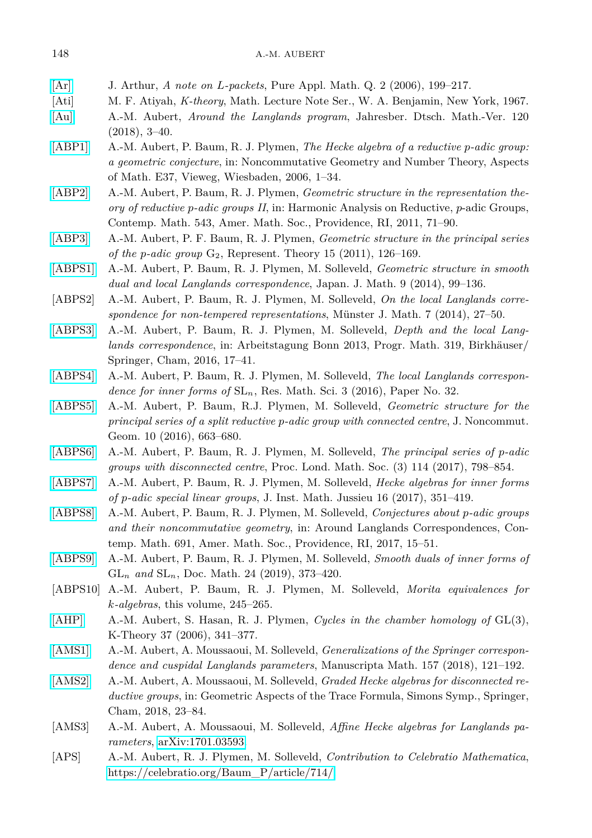# <span id="page-13-18"></span><span id="page-13-15"></span><span id="page-13-14"></span>[\[Ar\]](http://dx.doi.org/10.4310/PAMQ.2006.v2.n1.a9) J. Arthur, *A note on L-packets*, Pure Appl. Math. Q. 2 (2006), 199–217. [Ati] M. F. Atiyah, *K-theory*, Math. Lecture Note Ser., W. A. Benjamin, New York, 1967. [\[Au\]](http://dx.doi.org/10.1365/s13291-017-0171-8) A.-M. Aubert, *Around the Langlands program*, Jahresber. Dtsch. Math.-Ver. 120 (2018), 3–40. [\[ABP1\]](http://dx.doi.org/10.1007/978-3-8348-0352-8_1) A.-M. Aubert, P. Baum, R. J. Plymen, *The Hecke algebra of a reductive p-adic group:*

- <span id="page-13-0"></span>*a geometric conjecture*, in: Noncommutative Geometry and Number Theory, Aspects of Math. E37, Vieweg, Wiesbaden, 2006, 1–34.
- <span id="page-13-1"></span>[\[ABP2\]](http://dx.doi.org/10.1090/conm/543/10730) A.-M. Aubert, P. Baum, R. J. Plymen, *Geometric structure in the representation theory of reductive p-adic groups II*, in: Harmonic Analysis on Reductive, *p*-adic Groups, Contemp. Math. 543, Amer. Math. Soc., Providence, RI, 2011, 71–90.
- [\[ABP3\]](http://dx.doi.org/10.1090/S1088-4165-2011-00392-7) A.-M. Aubert, P. F. Baum, R. J. Plymen, *Geometric structure in the principal series of the p-adic group* G2, Represent. Theory 15 (2011), 126–169.
- <span id="page-13-3"></span>[\[ABPS1\]](http://dx.doi.org/10.1007/s11537-014-1267-x) A.-M. Aubert, P. Baum, R. J. Plymen, M. Solleveld, *Geometric structure in smooth dual and local Langlands correspondence*, Japan. J. Math. 9 (2014), 99–136.
- <span id="page-13-4"></span>[ABPS2] A.-M. Aubert, P. Baum, R. J. Plymen, M. Solleveld, *On the local Langlands correspondence for non-tempered representations*, Münster J. Math. 7 (2014), 27–50.
- <span id="page-13-5"></span>[\[ABPS3\]](http://dx.doi.org/10.1007/978-3-319-43648-7_2) A.-M. Aubert, P. Baum, R. J. Plymen, M. Solleveld, *Depth and the local Langlands correspondence*, in: Arbeitstagung Bonn 2013, Progr. Math. 319, Birkhäuser/ Springer, Cham, 2016, 17–41.
- <span id="page-13-6"></span>[\[ABPS4\]](http://dx.doi.org/10.1186/s40687-016-0079-4) A.-M. Aubert, P. Baum, R. J. Plymen, M. Solleveld, *The local Langlands correspondence for inner forms of* SL*n*, Res. Math. Sci. 3 (2016), Paper No. 32.
- <span id="page-13-7"></span>[\[ABPS5\]](http://dx.doi.org/10.4171/JNCG/244) A.-M. Aubert, P. Baum, R.J. Plymen, M. Solleveld, *Geometric structure for the principal series of a split reductive p-adic group with connected centre*, J. Noncommut. Geom. 10 (2016), 663–680.
- <span id="page-13-8"></span>[\[ABPS6\]](http://dx.doi.org/10.1112/plms.12023) A.-M. Aubert, P. Baum, R. J. Plymen, M. Solleveld, *The principal series of p-adic groups with disconnected centre*, Proc. Lond. Math. Soc. (3) 114 (2017), 798–854.
- <span id="page-13-9"></span>[\[ABPS7\]](http://dx.doi.org/10.1017/S1474748015000079) A.-M. Aubert, P. Baum, R. J. Plymen, M. Solleveld, *Hecke algebras for inner forms of p-adic special linear groups*, J. Inst. Math. Jussieu 16 (2017), 351–419.
- <span id="page-13-10"></span>[\[ABPS8\]](http://dx.doi.org/10.1090/conm/691/13892) A.-M. Aubert, P. Baum, R. J. Plymen, M. Solleveld, *Conjectures about p-adic groups and their noncommutative geometry*, in: Around Langlands Correspondences, Contemp. Math. 691, Amer. Math. Soc., Providence, RI, 2017, 15–51.
- <span id="page-13-11"></span>[\[ABPS9\]](http://dx.doi.org/10.25537/dm.2019v24.373-420) A.-M. Aubert, P. Baum, R. J. Plymen, M. Solleveld, *Smooth duals of inner forms of* GL*<sup>n</sup> and* SL*n*, Doc. Math. 24 (2019), 373–420.
- <span id="page-13-2"></span>[ABPS10] A.-M. Aubert, P. Baum, R. J. Plymen, M. Solleveld, *Morita equivalences for k-algebras*, this volume, 245–265.
- <span id="page-13-19"></span>[\[AHP\]](http://dx.doi.org/10.1007/s10977-006-9001-y) A.-M. Aubert, S. Hasan, R. J. Plymen, *Cycles in the chamber homology of* GL(3), K-Theory 37 (2006), 341–377.
- <span id="page-13-13"></span>[\[AMS1\]](http://dx.doi.org/10.1007/s00229-018-1001-8) A.-M. Aubert, A. Moussaoui, M. Solleveld, *Generalizations of the Springer correspondence and cuspidal Langlands parameters*, Manuscripta Math. 157 (2018), 121–192.
- <span id="page-13-16"></span>[\[AMS2\]](http://dx.doi.org/10.1007/978-3-319-94833-1_2) A.-M. Aubert, A. Moussaoui, M. Solleveld, *Graded Hecke algebras for disconnected reductive groups*, in: Geometric Aspects of the Trace Formula, Simons Symp., Springer, Cham, 2018, 23–84.
- <span id="page-13-17"></span>[AMS3] A.-M. Aubert, A. Moussaoui, M. Solleveld, *Affine Hecke algebras for Langlands parameters*, [arXiv:1701.03593.](http://arxiv.org/abs/1701.03593)
- <span id="page-13-12"></span>[APS] A.-M. Aubert, R. J. Plymen, M. Solleveld, *Contribution to Celebratio Mathematica*, [https://celebratio.org/Baum\\_P/article/714/.](https://celebratio.org/Baum_P/article/714/)

### 148 A.-M. AUBERT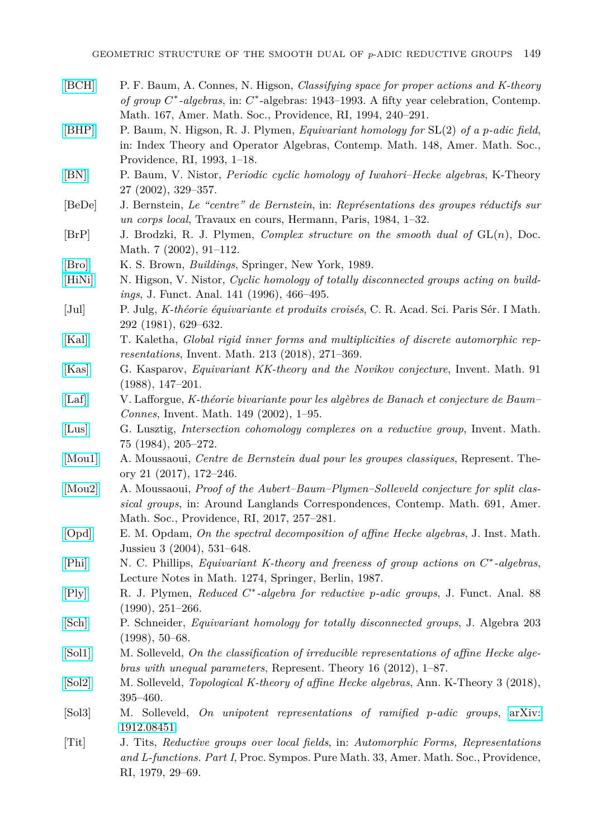- <span id="page-14-11"></span>[\[BCH\]](http://dx.doi.org/10.1090/conm/167/1292018) P. F. Baum, A. Connes, N. Higson, *Classifying space for proper actions and K-theory of group*  $C^*$ -algebras, in:  $C^*$ -algebras: 1943–1993. A fifty year celebration, Contemp. Math. 167, Amer. Math. Soc., Providence, RI, 1994, 240–291.
- <span id="page-14-17"></span>[\[BHP\]](http://dx.doi.org/10.1090/conm/148/01246) P. Baum, N. Higson, R. J. Plymen, *Equivariant homology for* SL(2) *of a p-adic field*, in: Index Theory and Operator Algebras, Contemp. Math. 148, Amer. Math. Soc., Providence, RI, 1993, 1–18.
- [\[BN\]](http://dx.doi.org/10.1023/A:1022672218776) P. Baum, V. Nistor, *Periodic cyclic homology of Iwahori–Hecke algebras*, K-Theory 27 (2002), 329–357.
- <span id="page-14-0"></span>[BeDe] J. Bernstein, *Le "centre" de Bernstein*, in: *Représentations des groupes réductifs sur un corps local*, Travaux en cours, Hermann, Paris, 1984, 1–32.
- [BrP] J. Brodzki, R. J. Plymen, *Complex structure on the smooth dual of* GL(*n*), Doc. Math. 7 (2002), 91–112.
- <span id="page-14-10"></span>[\[Bro\]](http://dx.doi.org/10.1007/978-1-4612-1019-1) K. S. Brown, *Buildings*, Springer, New York, 1989.
- <span id="page-14-14"></span>[\[HiNi\]](http://dx.doi.org/10.1006/jfan.1996.0138) N. Higson, V. Nistor, *Cyclic homology of totally disconnected groups acting on buildings*, J. Funct. Anal. 141 (1996), 466–495.
- <span id="page-14-6"></span>[Jul] P. Julg, *K-théorie équivariante et produits croisés*, C. R. Acad. Sci. Paris Sér. I Math. 292 (1981), 629–632.
- <span id="page-14-1"></span>[\[Kal\]](http://dx.doi.org/10.1007/s00222-018-0791-3) T. Kaletha, *Global rigid inner forms and multiplicities of discrete automorphic representations*, Invent. Math. 213 (2018), 271–369.
- <span id="page-14-12"></span>[\[Kas\]](http://dx.doi.org/10.1007/BF01404917) G. Kasparov, *Equivariant KK-theory and the Novikov conjecture*, Invent. Math. 91 (1988), 147–201.
- <span id="page-14-13"></span>[\[Laf\]](http://dx.doi.org/10.1007/s002220200213) V. Lafforgue, *K-théorie bivariante pour les algèbres de Banach et conjecture de Baum– Connes*, Invent. Math. 149 (2002), 1–95.
- <span id="page-14-3"></span>[\[Lus\]](http://dx.doi.org/10.1007/BF01388564) G. Lusztig, *Intersection cohomology complexes on a reductive group*, Invent. Math. 75 (1984), 205–272.
- <span id="page-14-2"></span>[\[Mou1\]](http://dx.doi.org/10.1090/ert/503) A. Moussaoui, *Centre de Bernstein dual pour les groupes classiques*, Represent. Theory 21 (2017), 172–246.
- <span id="page-14-4"></span>[\[Mou2\]](http://dx.doi.org/10.1090/conm/691/13900) A. Moussaoui, *Proof of the Aubert–Baum–Plymen–Solleveld conjecture for split classical groups*, in: Around Langlands Correspondences, Contemp. Math. 691, Amer. Math. Soc., Providence, RI, 2017, 257–281.
- [\[Opd\]](http://dx.doi.org/10.1017/S1474748004000155) E. M. Opdam, *On the spectral decomposition of affine Hecke algebras*, J. Inst. Math. Jussieu 3 (2004), 531–648.
- <span id="page-14-7"></span>[\[Phi\]](http://dx.doi.org/10.1007/BFb0078657) N. C. Phillips, *Equivariant K-theory and freeness of group actions on C* ∗ *-algebras*, Lecture Notes in Math. 1274, Springer, Berlin, 1987.
- <span id="page-14-8"></span>[\[Ply\]](http://dx.doi.org/10.1016/0022-1236(90)90105-T) R. J. Plymen, *Reduced C* ∗ *-algebra for reductive p-adic groups*, J. Funct. Anal. 88 (1990), 251–266.
- <span id="page-14-15"></span>[\[Sch\]](http://dx.doi.org/10.1006/jabr.1997.7309) P. Schneider, *Equivariant homology for totally disconnected groups*, J. Algebra 203 (1998), 50–68.
- <span id="page-14-16"></span>[\[Sol1\]](http://dx.doi.org/10.1090/S1088-4165-2012-00406-X) M. Solleveld, *On the classification of irreducible representations of affine Hecke algebras with unequal parameters*, Represent. Theory 16 (2012), 1–87.
- <span id="page-14-18"></span>[\[Sol2\]](http://dx.doi.org/10.2140/akt.2018.3.395) M. Solleveld, *Topological K-theory of affine Hecke algebras*, Ann. K-Theory 3 (2018), 395–460.
- <span id="page-14-5"></span>[Sol3] M. Solleveld, *On unipotent representations of ramified p-adic groups*, [arXiv:](http://arxiv.org/abs/1912.08451) [1912.08451.](http://arxiv.org/abs/1912.08451)
- <span id="page-14-9"></span>[Tit] J. Tits, *Reductive groups over local fields*, in: *Automorphic Forms, Representations and L-functions. Part I*, Proc. Sympos. Pure Math. 33, Amer. Math. Soc., Providence, RI, 1979, 29–69.